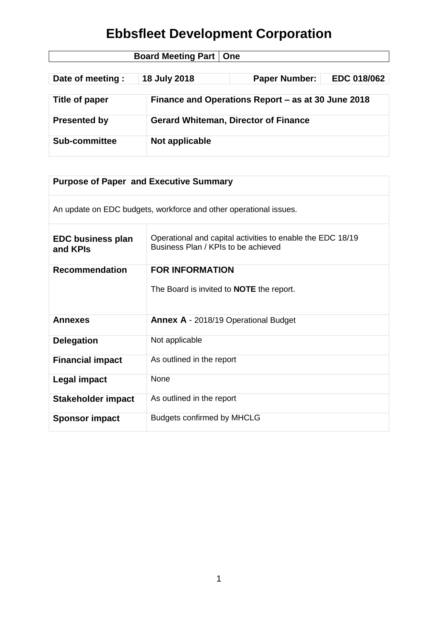| <b>Board Meeting Part   One</b> |                |                                                    |                    |  |
|---------------------------------|----------------|----------------------------------------------------|--------------------|--|
|                                 |                |                                                    |                    |  |
| Date of meeting :               | 18 July 2018   | <b>Paper Number:</b>                               | <b>EDC 018/062</b> |  |
|                                 |                |                                                    |                    |  |
| Title of paper                  |                | Finance and Operations Report – as at 30 June 2018 |                    |  |
|                                 |                |                                                    |                    |  |
| <b>Presented by</b>             |                | <b>Gerard Whiteman, Director of Finance</b>        |                    |  |
|                                 |                |                                                    |                    |  |
| <b>Sub-committee</b>            | Not applicable |                                                    |                    |  |
|                                 |                |                                                    |                    |  |

| <b>Purpose of Paper and Executive Summary</b>                     |                                                                                                   |  |  |
|-------------------------------------------------------------------|---------------------------------------------------------------------------------------------------|--|--|
| An update on EDC budgets, workforce and other operational issues. |                                                                                                   |  |  |
| <b>EDC business plan</b><br>and KPIs                              | Operational and capital activities to enable the EDC 18/19<br>Business Plan / KPIs to be achieved |  |  |
| <b>Recommendation</b>                                             | <b>FOR INFORMATION</b>                                                                            |  |  |
|                                                                   | The Board is invited to <b>NOTE</b> the report.                                                   |  |  |
| <b>Annexes</b>                                                    | <b>Annex A - 2018/19 Operational Budget</b>                                                       |  |  |
| <b>Delegation</b>                                                 | Not applicable                                                                                    |  |  |
| <b>Financial impact</b>                                           | As outlined in the report                                                                         |  |  |
| Legal impact                                                      | <b>None</b>                                                                                       |  |  |
| <b>Stakeholder impact</b>                                         | As outlined in the report                                                                         |  |  |
| <b>Sponsor impact</b>                                             | <b>Budgets confirmed by MHCLG</b>                                                                 |  |  |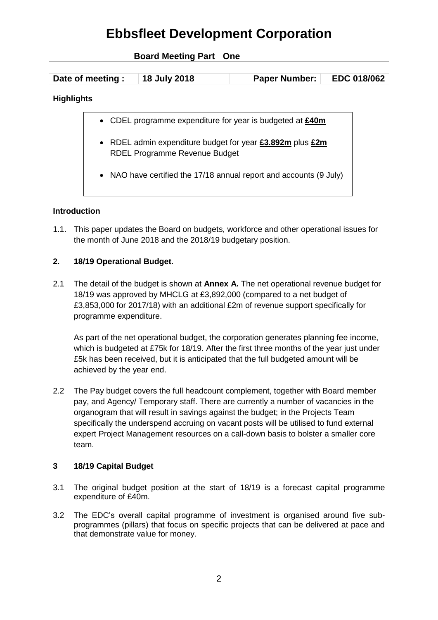| <b>Board Meeting Part   One</b> |                                                                                                   |              |                                                                    |             |  |
|---------------------------------|---------------------------------------------------------------------------------------------------|--------------|--------------------------------------------------------------------|-------------|--|
|                                 |                                                                                                   |              |                                                                    |             |  |
|                                 | Date of meeting :                                                                                 | 18 July 2018 | <b>Paper Number:</b>                                               | EDC 018/062 |  |
| <b>Highlights</b>               |                                                                                                   |              |                                                                    |             |  |
|                                 | • CDEL programme expenditure for year is budgeted at £40m                                         |              |                                                                    |             |  |
|                                 | • RDEL admin expenditure budget for year £3.892m plus £2m<br><b>RDEL Programme Revenue Budget</b> |              |                                                                    |             |  |
|                                 |                                                                                                   |              | • NAO have certified the 17/18 annual report and accounts (9 July) |             |  |

### **Introduction**

1.1. This paper updates the Board on budgets, workforce and other operational issues for the month of June 2018 and the 2018/19 budgetary position.

### **2. 18/19 Operational Budget**.

2.1 The detail of the budget is shown at **Annex A.** The net operational revenue budget for 18/19 was approved by MHCLG at £3,892,000 (compared to a net budget of £3,853,000 for 2017/18) with an additional £2m of revenue support specifically for programme expenditure.

As part of the net operational budget, the corporation generates planning fee income, which is budgeted at £75k for 18/19. After the first three months of the year just under £5k has been received, but it is anticipated that the full budgeted amount will be achieved by the year end.

2.2 The Pay budget covers the full headcount complement, together with Board member pay, and Agency/ Temporary staff. There are currently a number of vacancies in the organogram that will result in savings against the budget; in the Projects Team specifically the underspend accruing on vacant posts will be utilised to fund external expert Project Management resources on a call-down basis to bolster a smaller core team.

#### **3 18/19 Capital Budget**

- 3.1 The original budget position at the start of 18/19 is a forecast capital programme expenditure of £40m.
- 3.2 The EDC's overall capital programme of investment is organised around five subprogrammes (pillars) that focus on specific projects that can be delivered at pace and that demonstrate value for money.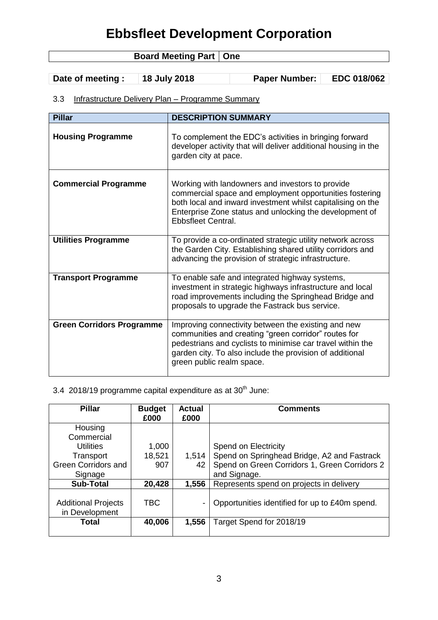| <b>Board Meeting Part   One</b> |              |                      |                    |
|---------------------------------|--------------|----------------------|--------------------|
|                                 |              |                      |                    |
| Date of meeting :               | 18 July 2018 | <b>Paper Number:</b> | <b>EDC 018/062</b> |

### 3.3 Infrastructure Delivery Plan – Programme Summary

| <b>Pillar</b>                    | <b>DESCRIPTION SUMMARY</b>                                                                                                                                                                                                                                         |
|----------------------------------|--------------------------------------------------------------------------------------------------------------------------------------------------------------------------------------------------------------------------------------------------------------------|
| <b>Housing Programme</b>         | To complement the EDC's activities in bringing forward<br>developer activity that will deliver additional housing in the<br>garden city at pace.                                                                                                                   |
| <b>Commercial Programme</b>      | Working with landowners and investors to provide<br>commercial space and employment opportunities fostering<br>both local and inward investment whilst capitalising on the<br>Enterprise Zone status and unlocking the development of<br><b>Ebbsfleet Central.</b> |
| <b>Utilities Programme</b>       | To provide a co-ordinated strategic utility network across<br>the Garden City. Establishing shared utility corridors and<br>advancing the provision of strategic infrastructure.                                                                                   |
| <b>Transport Programme</b>       | To enable safe and integrated highway systems,<br>investment in strategic highways infrastructure and local<br>road improvements including the Springhead Bridge and<br>proposals to upgrade the Fastrack bus service.                                             |
| <b>Green Corridors Programme</b> | Improving connectivity between the existing and new<br>communities and creating "green corridor" routes for<br>pedestrians and cyclists to minimise car travel within the<br>garden city. To also include the provision of additional<br>green public realm space. |

#### 3.4 2018/19 programme capital expenditure as at  $30<sup>th</sup>$  June:

| <b>Pillar</b>                                | <b>Budget</b><br>£000 | <b>Actual</b><br>£000 | <b>Comments</b>                                |
|----------------------------------------------|-----------------------|-----------------------|------------------------------------------------|
| Housing                                      |                       |                       |                                                |
| Commercial                                   |                       |                       |                                                |
| <b>Utilities</b>                             | 1,000                 |                       | Spend on Electricity                           |
| Transport                                    | 18,521                | 1,514                 | Spend on Springhead Bridge, A2 and Fastrack    |
| <b>Green Corridors and</b>                   | 907                   | 42                    | Spend on Green Corridors 1, Green Corridors 2  |
| Signage                                      |                       |                       | and Signage.                                   |
| <b>Sub-Total</b>                             | 20,428                | 1,556                 | Represents spend on projects in delivery       |
| <b>Additional Projects</b><br>in Development | <b>TBC</b>            | ۰                     | Opportunities identified for up to £40m spend. |
| Total                                        | 40,006                | 1,556                 | Target Spend for 2018/19                       |
|                                              |                       |                       |                                                |